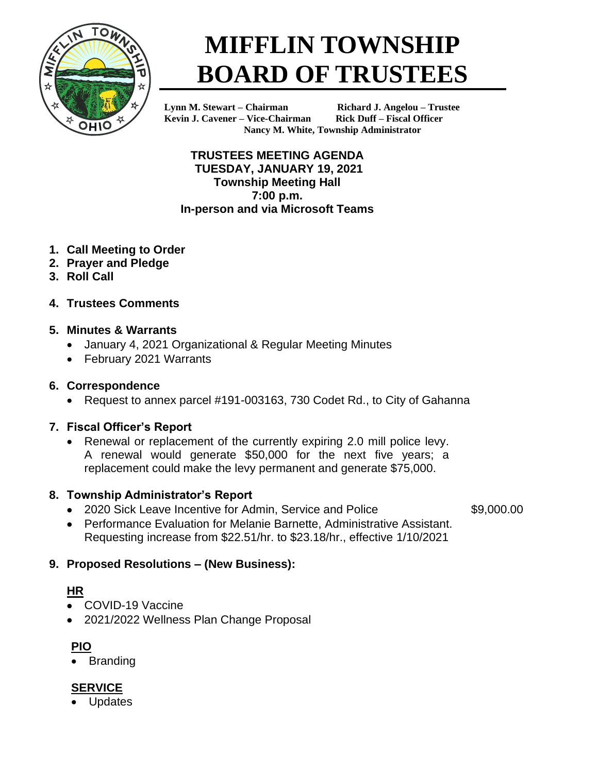

# **MIFFLIN TOWNSHIP BOARD OF TRUSTEES**

**Kevin J. Cavener – Vice-Chairman Rick Duff – Fiscal Officer**

**Lynn M. Stewart – Chairman Richard J. Angelou – Trustee Nancy M. White, Township Administrator**

**TRUSTEES MEETING AGENDA TUESDAY, JANUARY 19, 2021 Township Meeting Hall 7:00 p.m. In-person and via Microsoft Teams**

- **1. Call Meeting to Order**
- **2. Prayer and Pledge**
- **3. Roll Call**
- **4. Trustees Comments**

#### **5. Minutes & Warrants**

- January 4, 2021 Organizational & Regular Meeting Minutes
- February 2021 Warrants

#### **6. Correspondence**

• Request to annex parcel #191-003163, 730 Codet Rd., to City of Gahanna

# **7. Fiscal Officer's Report**

• Renewal or replacement of the currently expiring 2.0 mill police levy. A renewal would generate \$50,000 for the next five years; a replacement could make the levy permanent and generate \$75,000.

# **8. Township Administrator's Report**

• 2020 Sick Leave Incentive for Admin, Service and Police \$9,000.00

• Performance Evaluation for Melanie Barnette, Administrative Assistant. Requesting increase from \$22.51/hr. to \$23.18/hr., effective 1/10/2021

# **9. Proposed Resolutions – (New Business):**

# **HR**

- COVID-19 Vaccine
- 2021/2022 Wellness Plan Change Proposal

# **PIO**

**Branding** 

# **SERVICE**

**Updates**